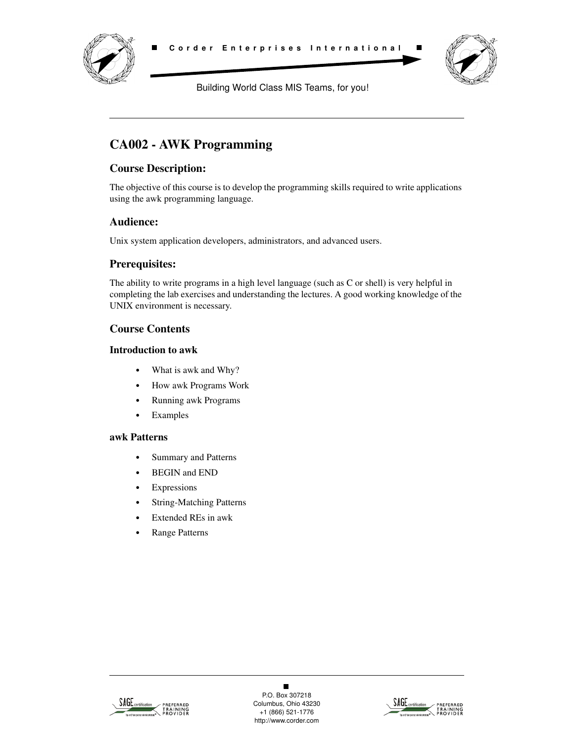



Building World Class MIS Teams, for you!

# **CA002 - AWK Programming**

## **Course Description:**

The objective of this course is to develop the programming skills required to write applications using the awk programming language.

## **Audience:**

Unix system application developers, administrators, and advanced users.

## **Prerequisites:**

The ability to write programs in a high level language (such as C or shell) is very helpful in completing the lab exercises and understanding the lectures. A good working knowledge of the UNIX environment is necessary.

## **Course Contents**

#### **Introduction to awk**

- **•** What is awk and Why?
- **•** How awk Programs Work
- **•** Running awk Programs
- **•** Examples

#### **awk Patterns**

- **•** Summary and Patterns
- **•** BEGIN and END
- **•** Expressions
- **•** String-Matching Patterns
- **•** Extended REs in awk
- **•** Range Patterns



 $\blacksquare$ P.O. Box 307218 Columbus, Ohio 43230 +1 (866) 521-1776 http://www.corder.com